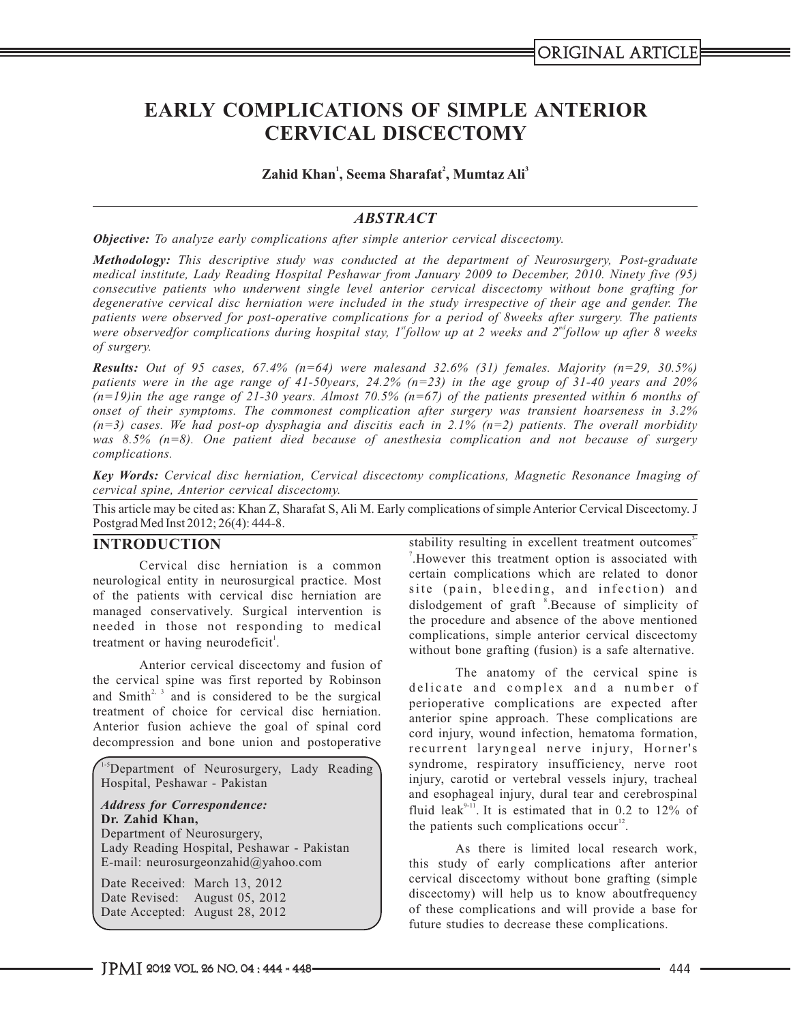# **EARLY COMPLICATIONS OF SIMPLE ANTERIOR CERVICAL DISCECTOMY**

**<sup>1</sup> <sup>2</sup> <sup>3</sup> Zahid Khan , Seema Sharafat , Mumtaz Ali**

## *ABSTRACT*

*Objective: To analyze early complications after simple anterior cervical discectomy.*

*Methodology: This descriptive study was conducted at the department of Neurosurgery, Post-graduate medical institute, Lady Reading Hospital Peshawar from January 2009 to December, 2010. Ninety five (95) consecutive patients who underwent single level anterior cervical discectomy without bone grafting for degenerative cervical disc herniation were included in the study irrespective of their age and gender. The patients were observed for post-operative complications for a period of 8weeks after surgery. The patients st nd were observedfor complications during hospital stay, 1 follow up at 2 weeks and 2 follow up after 8 weeks of surgery.*

*Results: Out of 95 cases, 67.4% (n=64) were malesand 32.6% (31) females. Majority (n=29, 30.5%) patients were in the age range of 41-50years, 24.2% (n=23) in the age group of 31-40 years and 20% (n=19)in the age range of 21-30 years. Almost 70.5% (n=67) of the patients presented within 6 months of onset of their symptoms. The commonest complication after surgery was transient hoarseness in 3.2% (n=3) cases. We had post-op dysphagia and discitis each in 2.1% (n=2) patients. The overall morbidity was 8.5% (n=8). One patient died because of anesthesia complication and not because of surgery complications.*

*Key Words: Cervical disc herniation, Cervical discectomy complications, Magnetic Resonance Imaging of cervical spine, Anterior cervical discectomy.*

This article may be cited as: Khan Z, Sharafat S, Ali M. Early complications of simple Anterior Cervical Discectomy. J Postgrad Med Inst 2012; 26(4): 444-8.

neurological entity in neurosurgical practice. Most of the patients with cervical disc herniation are managed conservatively. Surgical intervention is needed in those not responding to medical 1 complications, simple anterior cervical discectomy treatment or having neurodeficit<sup>1</sup>.

Anterior cervical discectomy and fusion of<br>
The anatomy of the cervical spine is the cervical spine was first reported by Robinson and Smith<sup>2, 3</sup> and is considered to be the surgical treatment of choice for cervical disc herniation. Anterior fusion achieve the goal of spinal cord<br>cord injury, wound infection, hematoma formation, decompression and bone union and postoperative

<sup>1-5</sup>Department of Neurosurgery, Lady Reading Hospital, Peshawar - Pakistan

Dr. Zahid Khan, *Address for Correspondence:* 

Department of Neurosurgery, Lady Reading Hospital, Peshawar - Pakistan E-mail: neurosurgeonzahid@yahoo.com

Date Received: March 13, 2012 Date Revised: August 05, 2012 Date Accepted: August 28, 2012

**INTRODUCTION** stability resulting in excellent treatment outcomes<sup>3</sup> Cervical disc herniation is a common<br>contribution of the contribution which are related to denote certain complications which are related to donor site (pain, bleeding, and infection) and dislodgement of graft <sup>8</sup>.Because of simplicity of the procedure and absence of the above mentioned without bone grafting (fusion) is a safe alternative.

> delicate and complex and a number of perioperative complications are expected after<br>anterior spine approach. These complications are recurrent laryngeal nerve injury, Horner's syndrome, respiratory insufficiency, nerve root injury, carotid or vertebral vessels injury, tracheal and esophageal injury, dural tear and cerebrospinal fluid leak<sup>9-11</sup>. It is estimated that in 0.2 to 12% of the patients such complications occur<sup>12</sup>.

> As there is limited local research work, this study of early complications after anterior cervical discectomy without bone grafting (simple discectomy) will help us to know aboutfrequency of these complications and will provide a base for future studies to decrease these complications.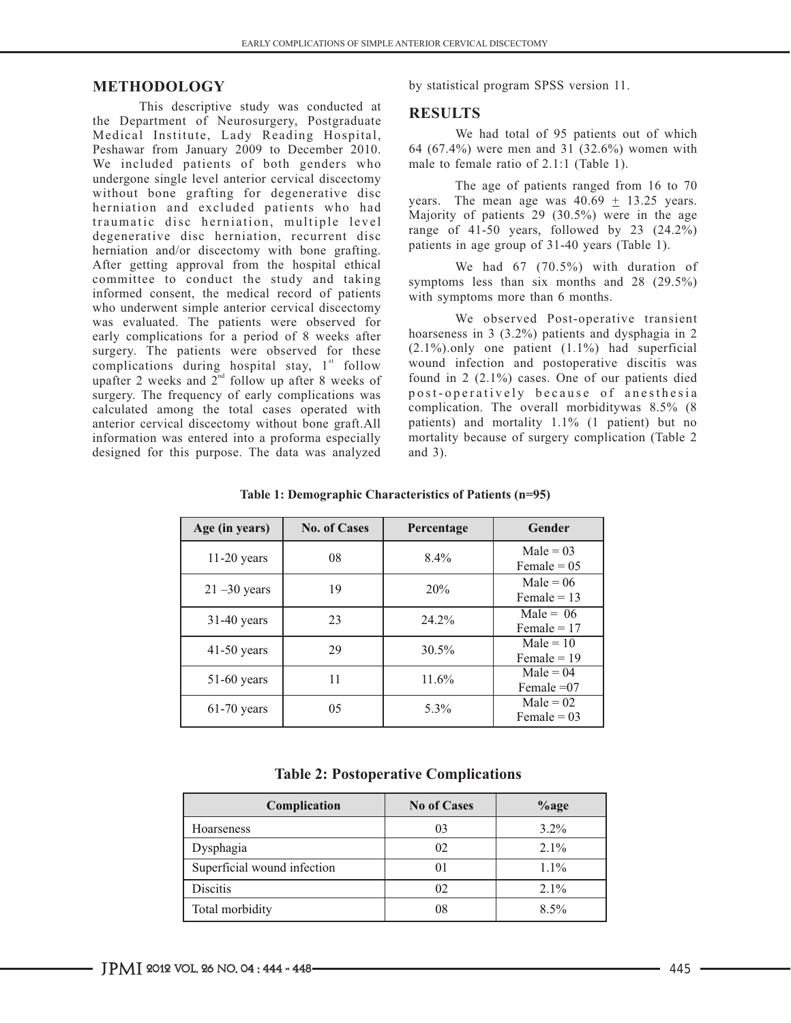This descriptive study was conducted at **RESULTS** the Department of Neurosurgery, Postgraduate Medical Institute, Lady Reading Hospital, We had total of 95 patients out of which Peshawar from January 2009 to December 2010. 64 (67.4%) were men and 31 (32.6%) women with Peshawar from January 2009 to December 2010. 64 (67.4%) were men and 31 (32.6%) were included patients of both genders who male to female ratio of 2.1:1 (Table 1). We included patients of both genders who undergone single level anterior cervical discectomy. without bone grafting for degenerative disc herniation and excluded patients who had<br>traumatic disc herniation, multiple level Majority of patients 29 (30.5%) were in the age<br>deconomistics disc hermistics resument disc range of 41-50 years, followed by 23 (24.2%) degenerative disc herniation, recurrent disc  $\frac{\text{range of 41-50 years, followed by 23 (24)}}{\text{patients in age group of 31-40 years (Table 1)}}$ herniation and/or discectomy with bone grafting.<br>After getting approval from the hospital ethical After getting approval from the hospital ethical We had  $67$  (70.5%) with duration of committee to conduct the study and taking symptoms less than six months and  $28$  (29.5%) informed consent, the medical record of patients with symptoms more than 6 months. who underwent simple anterior cervical discectomy was evaluated. The patients were observed for<br>early complications for a period of 8 weeks after hoarseness in  $3$  (3.2%) patients and dysphagia in 2 early complications for a period of 8 weeks after surgery. The patients were observed for these  $(2.1\%)$  only one patient  $(1.1\%)$  had superficial complications during hospital stay, 1st upafter 2 weeks and  $2^{nd}$  follow up after 8 weeks of found in 2 (2.1%) cases. One of our patients died surgery. The frequency of early complications was post-operatively because of anesthesia<br>calculated among the total cases operated with complication. The overall morbiditywas 8.5% (8) calculated among the total cases operated with complication. The overall morbiditywas 8.5% (8 contention cervical discectomy without bone graft. All patients) and mortality 1.1% (1 patient) but no anterior cervical discectomy without bone graft.All patients) and mortality 1.1% (1 patient) but no<br>information was entered into a proforma especially mortality because of surgery complication (Table 2 information was entered into a proforma especially designed for this purpose. The data was analyzed and 3).

**METHODOLOGY** by statistical program SPSS version 11.

The age of patients ranged from 16 to 70 years. The mean age was  $40.69 + 13.25$  years.

symptoms less than six months and  $28$  (29.5%)

wound infection and postoperative discitis was found in  $2(2.1\%)$  cases. One of our patients died

| Age (in years)  | <b>No. of Cases</b> | Percentage | Gender         |
|-----------------|---------------------|------------|----------------|
| $11-20$ years   | 08                  | $8.4\%$    | $Male = 03$    |
|                 |                     |            | Female = $05$  |
| $21 - 30$ years | 19                  | 20%        | $Male = 06$    |
|                 |                     |            | Female $= 13$  |
| 31-40 years     | 23                  | 24.2%      | Male = $06$    |
|                 |                     |            | Female $= 17$  |
| $41-50$ years   | 29                  | 30.5%      | $Male = 10$    |
|                 |                     |            | $Female = 19$  |
|                 | 11                  | 11.6%      | $Male = 04$    |
| $51-60$ years   |                     |            | Female $=07$   |
|                 | 05                  | $5.3\%$    | $Male = 02$    |
| $61-70$ years   |                     |            | Female $= 0.3$ |

**Table 1: Demographic Characteristics of Patients (n=95)**

|  |  | <b>Table 2: Postoperative Complications</b> |
|--|--|---------------------------------------------|
|--|--|---------------------------------------------|

| Complication                | <b>No of Cases</b> | $\%$ age |
|-----------------------------|--------------------|----------|
| Hoarseness                  | 03                 | $3.2\%$  |
| Dysphagia                   | 02                 | $2.1\%$  |
| Superficial wound infection | 01                 | $1.1\%$  |
| <b>Discitis</b>             | 02                 | $2.1\%$  |
| Total morbidity             | 08                 | $8.5\%$  |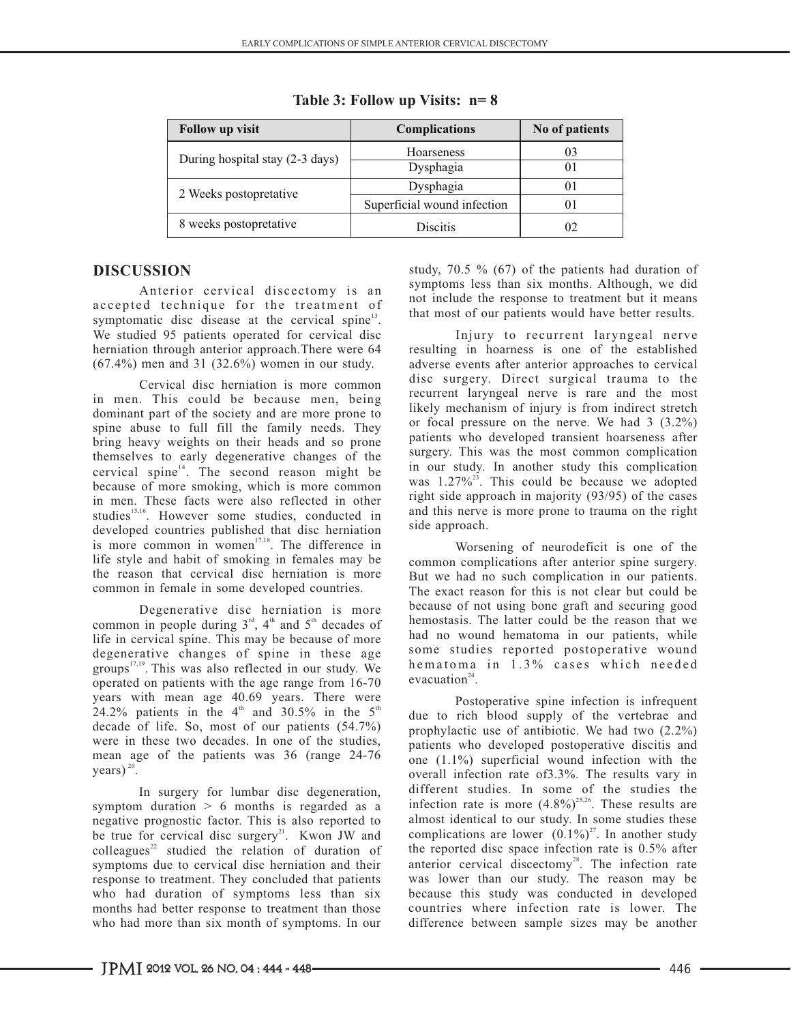| <b>Follow up visit</b>          | <b>Complications</b>        | No of patients |
|---------------------------------|-----------------------------|----------------|
| During hospital stay (2-3 days) | Hoarseness                  | 03             |
|                                 | Dysphagia                   |                |
| 2 Weeks postopretative          | Dysphagia                   |                |
|                                 | Superficial wound infection |                |
| 8 weeks postopretative          | <b>Discitis</b>             | 02             |

**Table 3: Follow up Visits: n= 8**

accepted technique for the treatment of symptomatic disc disease at the cervical spine<sup>13</sup>. We studied 95 patients operated for cervical disc and Injury to recurrent laryngeal nerve herniation through anterior approach.There were 64 resulting in hoarness is one of the established (67.4%) men and 31 (32.6%) women in our study. adverse events after anterior approaches to cervical

in men. This could be because men, being<br>dominant part of the society and are more prope to<br>likely mechanism of injury is from indirect stretch dominant part of the society and are more prone to<br>critical dominant part of the society and are more prone to<br>or focal pressure on the nerve. We had 3 (3.2%) spine abuse to full fill the family needs. They patients who developed transient hoarseness after<br>bring heavy weights on their heads and so prone patients who developed transient hoarseness after<br>themselves to early deconomics changes of the surgery. This was the most c themselves to early degenerative changes of the surgery. This was the most common complication themselves to early degenerative changes of the surgery. This was the most common complication 11 our study. In another study this complication because of more smoking, which is more common was 1.27%<sup>23</sup>. This could be because we adopted in men. These facts were also reflected in other right side approach in majori in men. These facts were also reflected in other right side approach in majority (93/95) of the cases in the right studies conducted in and this nerve is more prone to trauma on the right studies<sup>15,16</sup>. However some studies, conducted in and this nerve<br>developed countries published that disc hermitian side approach. developed countries published that disc herniation is more common in women  $17,18$ . The difference in Worsening of neurodeficit is one of the life style and habit of smoking in females may be common complications after anterior spine surgery.<br>the reason that cervical disc herniation is more But we had no such complication in our patients the reason that cervical disc herniation is more But we had no such complication in our patients.<br>
Sommon in female in some developed countries. The exact reason for this is not clear but could be

common in people during  $3<sup>rd</sup>$ ,  $4<sup>th</sup>$  and  $5<sup>th</sup>$  decades of the new states of the latter could be the reason that we common in pervice  $\frac{1}{16}$  in cervical spine. This may be because of more had no wound he life in cervical spine. This may be because of more had no wound hematoma in our patients, while degenerative changes of spine in these age some studies reported postoperative wound degenerative changes of spine in these age some studies reported postoperative wound<br>groups<sup>17,19</sup> This was also reflected in our study We hematoma in 1.3% cases which needed groups<sup>17,19</sup>. This was also reflected in our study. We operated on patients with the age range from  $16-70$ years with mean age 40.69 years. There were Postoperative spine infection is infrequent 24.2% patients in the  $4<sup>th</sup>$  and 30.5% in the  $5<sup>th</sup>$ 24.2% patients in the 4<sup>th</sup> and 30.5% in the 5<sup>th</sup> due to rich blood supply of the vertebrae and decade of life. So, most of our patients (54.7%) prophylactic use of antibiotic We had two (2.2%) decade of life. So, most of our patients  $(54.7%)$  prophylactic use of antibiotic. We had two  $(2.2%)$  were in these two decades. In one of the studies, national postophylactic negative discrimination and were in these two decades. In one of the studies, patients who developed postoperative discitis and mean age of the patients was  $36$  (range  $24-76$ ) one  $(1.1\%)$  superficial wound infection with the

symptom duration > 6 months is regarded as a infection rate is more  $(4.8\%)^{25,26}$ . These results are negative prognostic factor. This is also reported to almost identical to our study. In some studies these be true for cervical disc surgery<sup>21</sup>. Kwon JW and complications are lower  $(0.1\%)^{27}$ . In another study colleagues<sup>22</sup> studied the relation of duration of the reported disc space infection rate is 0.5% after colleagues<sup>22</sup> studied the relation of duration of the reported disc space infection rate is  $0.5\%$  after symptoms due to cervical disc herniation and their response to treatment. They concluded that patients was lower than our study. The reason may be who had duration of symptoms less than six because this study was conducted in developed months had better response to treatment than those who had more than six month of symptoms. In our difference between sample sizes may be another

**DISCUSSION** study, 70.5 % (67) of the patients had duration of Anterior cervical discectomy is an symptoms less than six months. Although, we did not include the response to treatment but it means that most of our patients would have better results.

Cervical disc herniation is more common<br>This could be because men being recurrent laryngeal nerve is rare and the most

The exact reason for this is not clear but could be Degenerative disc herniation is more because of not using bone graft and securing good in negative disc herniation is more egeneration. The latter could be the reason that we  $evacuation<sup>24</sup>$ .

mean age of the patients was 36 (range  $24-76$  one (1.1%) superficial wound infection with the vears)<sup>20</sup>. overall infection rate of 3.3%. The results vary in In surgery for lumbar disc degeneration, different studies. In some of the studies the complications are lower  $(0.1\%)^{27}$ . In another study anterior cervical discectomy<sup>28</sup>. The infection rate because this study was conducted in developed countries where infection rate is lower. The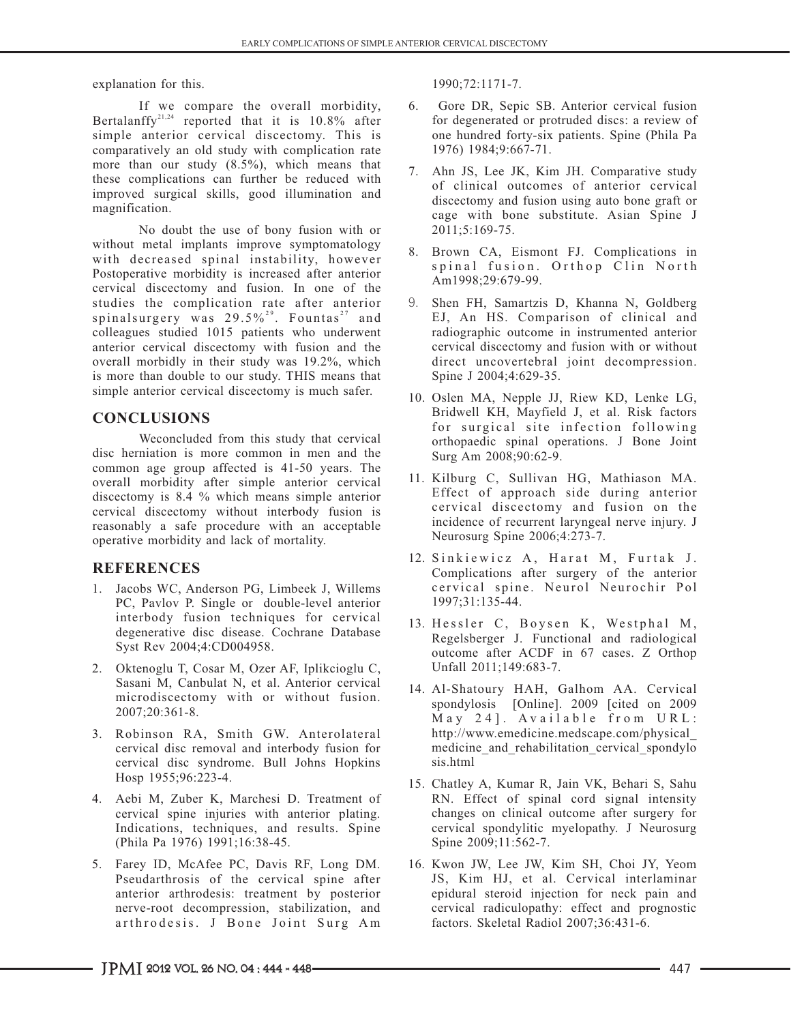explanation for this.

If we compare the overall morbidity, Bertalanffy<sup>21,24</sup> reported that it is  $10.8\%$  after simple anterior cervical discectomy. This is comparatively an old study with complication rate more than our study (8.5%), which means that these complications can further be reduced with improved surgical skills, good illumination and magnification.

No doubt the use of bony fusion with or without metal implants improve symptomatology with decreased spinal instability, however Postoperative morbidity is increased after anterior cervical discectomy and fusion. In one of the studies the complication rate after anterior spinalsurgery was  $29.5\%^{29}$ . Fountas<sup>27</sup> and colleagues studied 1015 patients who underwent anterior cervical discectomy with fusion and the overall morbidly in their study was 19.2%, which is more than double to our study. THIS means that simple anterior cervical discectomy is much safer.

### **CONCLUSIONS**

Weconcluded from this study that cervical disc herniation is more common in men and the common age group affected is 41-50 years. The overall morbidity after simple anterior cervical discectomy is 8.4 % which means simple anterior cervical discectomy without interbody fusion is reasonably a safe procedure with an acceptable operative morbidity and lack of mortality.

### **REFERENCES**

- PC, Pavlov P. Single or double-level anterior interbody fusion techniques for cervical Syst Rev 2004;4:CD004958.
- 2. Oktenoglu T, Cosar M, Ozer AF, Iplikcioglu C, Unfall 2011;149:683-7. Sasani M, Canbulat N, et al. Anterior cervical microdiscectomy with or without fusion.<br>2007;20:361-8.
- 3. Robinson RA, Smith GW. Anterolateral http://www.emedicine.medscape.com/physical<br>cervical disc removal and interbody fusion for medicine and rehabilitation cervical spondylo cervical disc removal and interbody fusion for medicine<br>cervical disc syndrome. Bull Johns Hopkins sis.html cervical disc syndrome. Bull Johns Hopkins Hosp 1955;96:223-4.
- 4. Aebi M, Zuber K, Marchesi D. Treatment of RN. Effect of spinal cord signal intensity cervical spine injuries with anterior plating. changes on clinical outcome after surgery for (Phila Pa 1976) 1991;16:38-45. Spine 2009;11:562-7.
- arthrodesis. J Bone Joint Surg Am factors. Skeletal Radiol 2007;36:431-6.

1990;72:1171-7.

- 6. Gore DR, Sepic SB. Anterior cervical fusion for degenerated or protruded discs: a review of one hundred forty-six patients. Spine (Phila Pa 1976) 1984;9:667-71.
- 7. Ahn JS, Lee JK, Kim JH. Comparative study of clinical outcomes of anterior cervical discectomy and fusion using auto bone graft or cage with bone substitute. Asian Spine J 2011;5:169-75.
- 8. Brown CA, Eismont FJ. Complications in spinal fusion. Orthop Clin North Am1998;29:679-99.
- 9. Shen FH, Samartzis D, Khanna N, Goldberg EJ, An HS. Comparison of clinical and radiographic outcome in instrumented anterior cervical discectomy and fusion with or without direct uncovertebral joint decompression. Spine J 2004;4:629-35.
- 10. Oslen MA, Nepple JJ, Riew KD, Lenke LG, Bridwell KH, Mayfield J, et al. Risk factors for surgical site infection following orthopaedic spinal operations. J Bone Joint Surg Am 2008;90:62-9.
- 11. Kilburg C, Sullivan HG, Mathiason MA. Effect of approach side during anterior cervical discectomy and fusion on the incidence of recurrent laryngeal nerve injury. J Neurosurg Spine 2006;4:273-7.
- 12. Sinkiewicz A, Harat M, Furtak J. Complications after surgery of the anterior 1. Jacobs WC, Anderson PG, Limbeek J, Willems cervical spine. Neurol Neurochir Pol PC. Pavlov P. Single or double-level anterior 1997;31:135-44.
	- 13. Hessler C, Boysen K, Westphal M, Regelsberger J. Functional and radiological outcome after ACDF in 67 cases. Z Orthop Unfall 2011;149:683-7.
	- 14. Al-Shatoury HAH, Galhom AA. Cervical spondylosis [Online]. 2009 [cited on 2009] May 24]. Available from URL:
	- 15. Chatley A, Kumar R, Jain VK, Behari S, Sahu changes on clinical outcome after surgery for Indications, techniques, and results. Spine cervical spondylitic myelopathy. J Neurosurg
- 5. Farey ID, McAfee PC, Davis RF, Long DM. 16. Kwon JW, Lee JW, Kim SH, Choi JY, Yeom Pseudarthrosis of the cervical spine after JS, Kim HJ, et al. Cervical interlaminar anterior arthrodesis: treatment by posterior epidural steroid injection for neck pain and nerve-root decompression, stabilization, and cervical radiculopathy: effect and prognostic